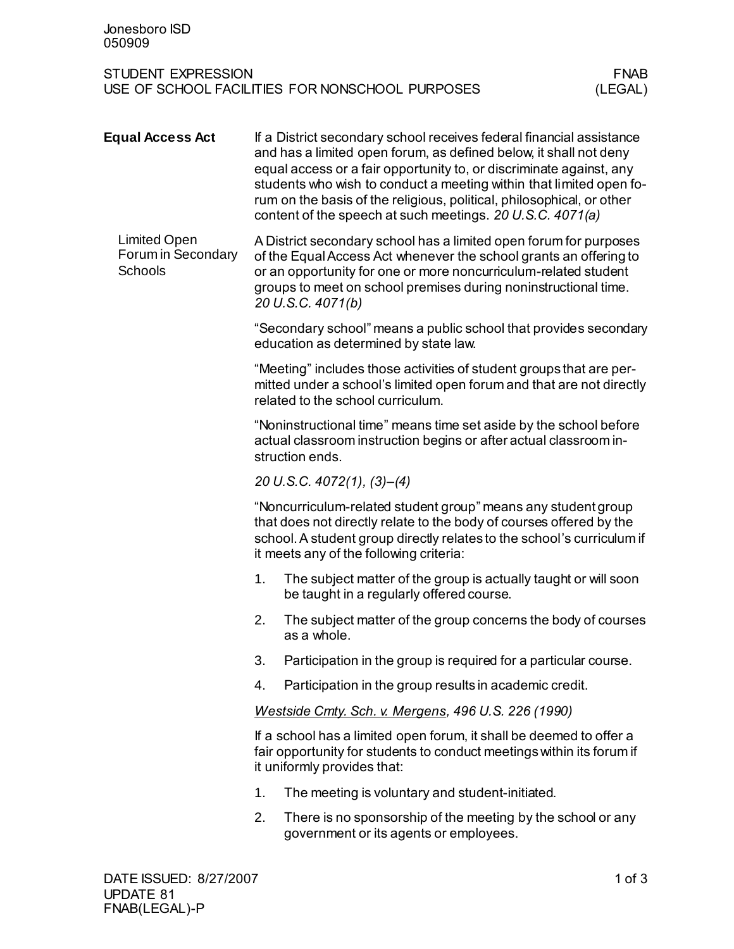| Jonesboro ISD<br>050909                                                                                |                                                                                                                                                                                                                                                                                                                                                                                                                               |                                                                                                             |  |  |
|--------------------------------------------------------------------------------------------------------|-------------------------------------------------------------------------------------------------------------------------------------------------------------------------------------------------------------------------------------------------------------------------------------------------------------------------------------------------------------------------------------------------------------------------------|-------------------------------------------------------------------------------------------------------------|--|--|
| <b>STUDENT EXPRESSION</b><br><b>FNAB</b><br>USE OF SCHOOL FACILITIES FOR NONSCHOOL PURPOSES<br>(LEGAL) |                                                                                                                                                                                                                                                                                                                                                                                                                               |                                                                                                             |  |  |
| <b>Equal Access Act</b>                                                                                | If a District secondary school receives federal financial assistance<br>and has a limited open forum, as defined below, it shall not deny<br>equal access or a fair opportunity to, or discriminate against, any<br>students who wish to conduct a meeting within that limited open fo-<br>rum on the basis of the religious, political, philosophical, or other<br>content of the speech at such meetings. 20 U.S.C. 4071(a) |                                                                                                             |  |  |
| <b>Limited Open</b><br>Forum in Secondary<br>Schools                                                   | A District secondary school has a limited open forum for purposes<br>of the Equal Access Act whenever the school grants an offering to<br>or an opportunity for one or more noncurriculum-related student<br>groups to meet on school premises during noninstructional time.<br>20 U.S.C. 4071(b)                                                                                                                             |                                                                                                             |  |  |
|                                                                                                        | "Secondary school" means a public school that provides secondary<br>education as determined by state law.                                                                                                                                                                                                                                                                                                                     |                                                                                                             |  |  |
|                                                                                                        | "Meeting" includes those activities of student groups that are per-<br>mitted under a school's limited open forum and that are not directly<br>related to the school curriculum.                                                                                                                                                                                                                                              |                                                                                                             |  |  |
|                                                                                                        | "Noninstructional time" means time set aside by the school before<br>actual classroom instruction begins or after actual classroom in-<br>struction ends.                                                                                                                                                                                                                                                                     |                                                                                                             |  |  |
|                                                                                                        |                                                                                                                                                                                                                                                                                                                                                                                                                               | 20 U.S.C. 4072(1), (3)–(4)                                                                                  |  |  |
|                                                                                                        | "Noncurriculum-related student group" means any student group<br>that does not directly relate to the body of courses offered by the<br>school. A student group directly relates to the school's curriculum if<br>it meets any of the following criteria:                                                                                                                                                                     |                                                                                                             |  |  |
|                                                                                                        | 1.                                                                                                                                                                                                                                                                                                                                                                                                                            | The subject matter of the group is actually taught or will soon<br>be taught in a regularly offered course. |  |  |
|                                                                                                        | 2.                                                                                                                                                                                                                                                                                                                                                                                                                            | The subject matter of the group concerns the body of courses<br>as a whole.                                 |  |  |
|                                                                                                        | 3.                                                                                                                                                                                                                                                                                                                                                                                                                            | Participation in the group is required for a particular course.                                             |  |  |
|                                                                                                        | 4.                                                                                                                                                                                                                                                                                                                                                                                                                            | Participation in the group results in academic credit.                                                      |  |  |
|                                                                                                        | Westside Cmty. Sch. v. Mergens, 496 U.S. 226 (1990)                                                                                                                                                                                                                                                                                                                                                                           |                                                                                                             |  |  |
|                                                                                                        | If a school has a limited open forum, it shall be deemed to offer a<br>fair opportunity for students to conduct meetings within its forum if<br>it uniformly provides that:                                                                                                                                                                                                                                                   |                                                                                                             |  |  |
|                                                                                                        | 1.                                                                                                                                                                                                                                                                                                                                                                                                                            | The meeting is voluntary and student-initiated.                                                             |  |  |
|                                                                                                        | 2.                                                                                                                                                                                                                                                                                                                                                                                                                            | There is no sponsorship of the meeting by the school or any<br>government or its agents or employees.       |  |  |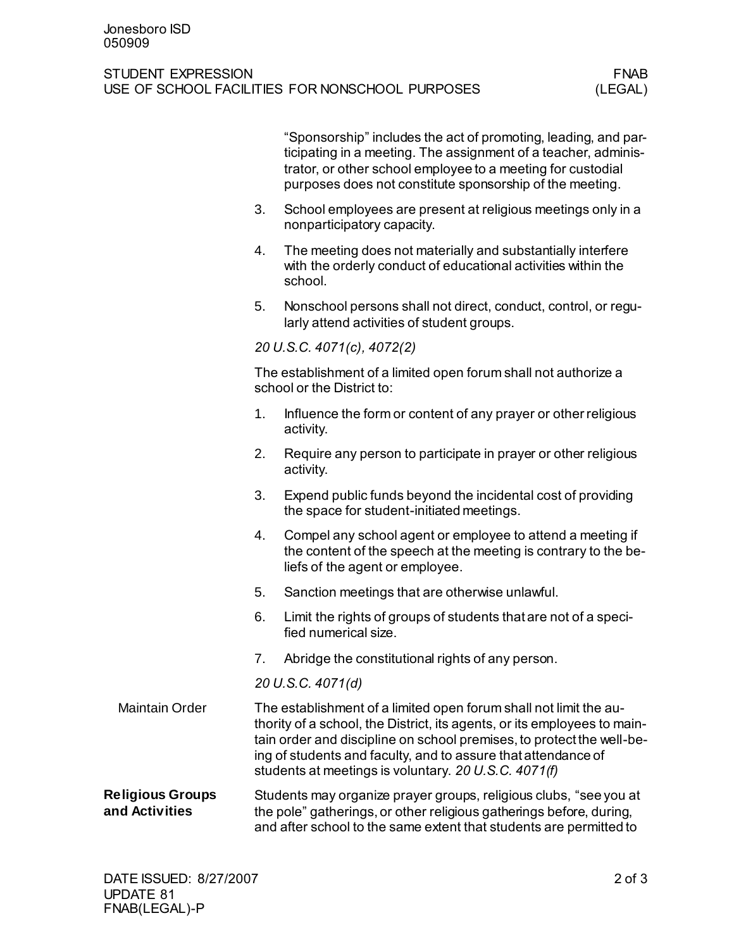## STUDENT EXPRESSION<br>USE OF SCHOOL FACILITIES FOR NONSCHOOL PURPOSES (LEGAL) USE OF SCHOOL FACILITIES FOR NONSCHOOL PURPOSES

|                                           |                                                                                                                                                                                                                                                                                                                                                 | "Sponsorship" includes the act of promoting, leading, and par-<br>ticipating in a meeting. The assignment of a teacher, adminis-<br>trator, or other school employee to a meeting for custodial<br>purposes does not constitute sponsorship of the meeting. |  |
|-------------------------------------------|-------------------------------------------------------------------------------------------------------------------------------------------------------------------------------------------------------------------------------------------------------------------------------------------------------------------------------------------------|-------------------------------------------------------------------------------------------------------------------------------------------------------------------------------------------------------------------------------------------------------------|--|
|                                           | 3.                                                                                                                                                                                                                                                                                                                                              | School employees are present at religious meetings only in a<br>nonparticipatory capacity.                                                                                                                                                                  |  |
|                                           | 4.                                                                                                                                                                                                                                                                                                                                              | The meeting does not materially and substantially interfere<br>with the orderly conduct of educational activities within the<br>school.                                                                                                                     |  |
|                                           | 5.                                                                                                                                                                                                                                                                                                                                              | Nonschool persons shall not direct, conduct, control, or regu-<br>larly attend activities of student groups.                                                                                                                                                |  |
|                                           | 20 U.S.C. 4071(c), 4072(2)                                                                                                                                                                                                                                                                                                                      |                                                                                                                                                                                                                                                             |  |
|                                           | The establishment of a limited open forum shall not authorize a<br>school or the District to:                                                                                                                                                                                                                                                   |                                                                                                                                                                                                                                                             |  |
|                                           | 1.                                                                                                                                                                                                                                                                                                                                              | Influence the form or content of any prayer or other religious<br>activity.                                                                                                                                                                                 |  |
|                                           | 2.                                                                                                                                                                                                                                                                                                                                              | Require any person to participate in prayer or other religious<br>activity.                                                                                                                                                                                 |  |
|                                           | 3.                                                                                                                                                                                                                                                                                                                                              | Expend public funds beyond the incidental cost of providing<br>the space for student-initiated meetings.                                                                                                                                                    |  |
|                                           | 4.                                                                                                                                                                                                                                                                                                                                              | Compel any school agent or employee to attend a meeting if<br>the content of the speech at the meeting is contrary to the be-<br>liefs of the agent or employee.                                                                                            |  |
|                                           | 5.                                                                                                                                                                                                                                                                                                                                              | Sanction meetings that are otherwise unlawful.                                                                                                                                                                                                              |  |
|                                           | 6.                                                                                                                                                                                                                                                                                                                                              | Limit the rights of groups of students that are not of a speci-<br>fied numerical size.                                                                                                                                                                     |  |
|                                           | 7.                                                                                                                                                                                                                                                                                                                                              | Abridge the constitutional rights of any person.                                                                                                                                                                                                            |  |
|                                           | 20 U.S.C. 4071(d)                                                                                                                                                                                                                                                                                                                               |                                                                                                                                                                                                                                                             |  |
| <b>Maintain Order</b>                     | The establishment of a limited open forum shall not limit the au-<br>thority of a school, the District, its agents, or its employees to main-<br>tain order and discipline on school premises, to protect the well-be-<br>ing of students and faculty, and to assure that attendance of<br>students at meetings is voluntary. 20 U.S.C. 4071(f) |                                                                                                                                                                                                                                                             |  |
| <b>Religious Groups</b><br>and Activities | Students may organize prayer groups, religious clubs, "see you at<br>the pole" gatherings, or other religious gatherings before, during,<br>and after school to the same extent that students are permitted to                                                                                                                                  |                                                                                                                                                                                                                                                             |  |